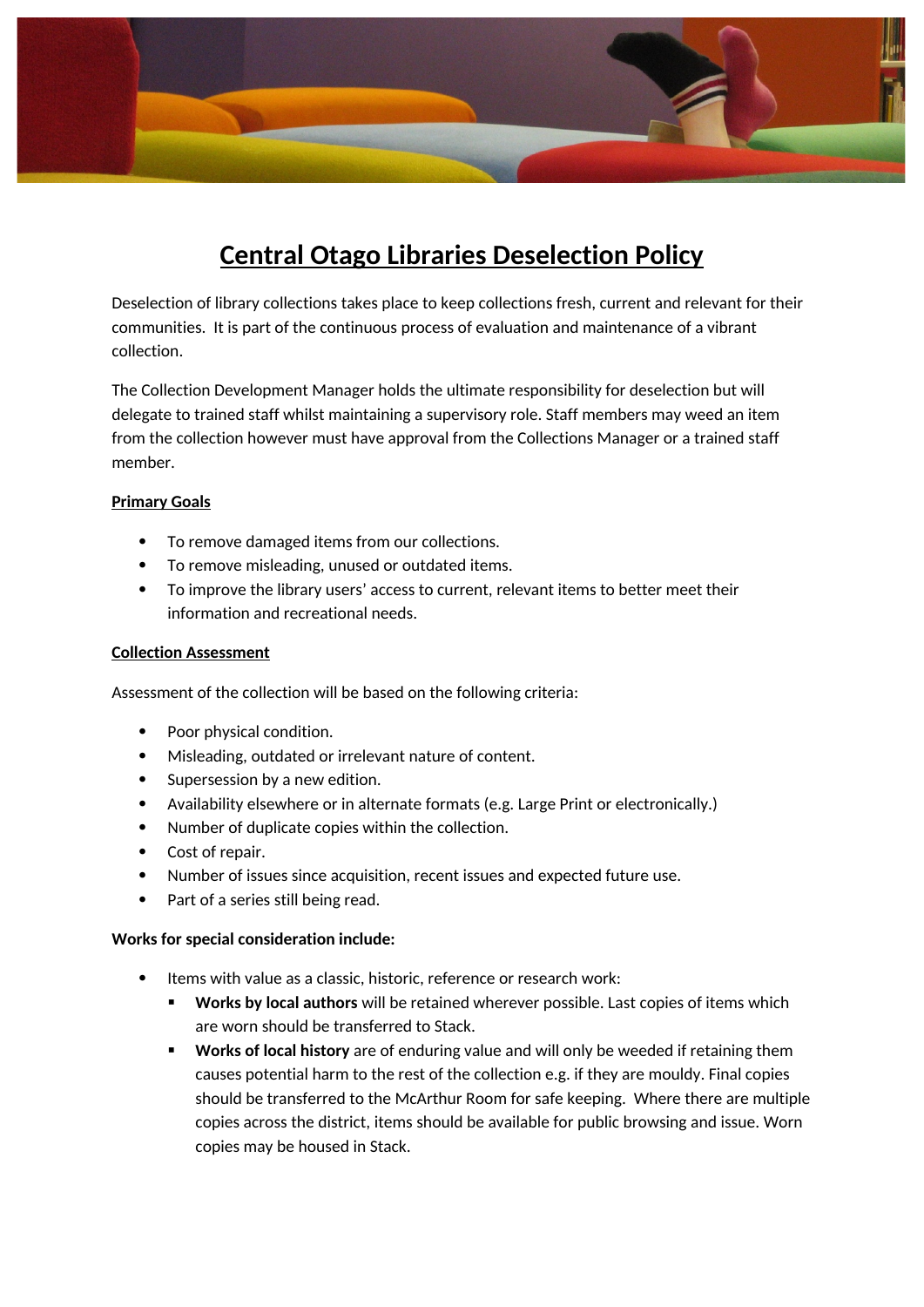

# **Central Otago Libraries Deselection Policy**

Deselection of library collections takes place to keep collections fresh, current and relevant for their communities. It is part of the continuous process of evaluation and maintenance of a vibrant collection.

The Collection Development Manager holds the ultimate responsibility for deselection but will delegate to trained staff whilst maintaining a supervisory role. Staff members may weed an item from the collection however must have approval from the Collections Manager or a trained staff member.

#### **Primary Goals**

- To remove damaged items from our collections.
- To remove misleading, unused or outdated items.
- To improve the library users' access to current, relevant items to better meet their information and recreational needs.

#### **Collection Assessment**

Assessment of the collection will be based on the following criteria:

- Poor physical condition.
- Misleading, outdated or irrelevant nature of content.
- Supersession by a new edition.
- Availability elsewhere or in alternate formats (e.g. Large Print or electronically.)
- Number of duplicate copies within the collection.
- Cost of repair.
- Number of issues since acquisition, recent issues and expected future use.
- Part of a series still being read.

#### **Works for special consideration include:**

- Items with value as a classic, historic, reference or research work:
	- **Works by local authors** will be retained wherever possible. Last copies of items which are worn should be transferred to Stack.
	- **Works of local history** are of enduring value and will only be weeded if retaining them causes potential harm to the rest of the collection e.g. if they are mouldy. Final copies should be transferred to the McArthur Room for safe keeping. Where there are multiple copies across the district, items should be available for public browsing and issue. Worn copies may be housed in Stack.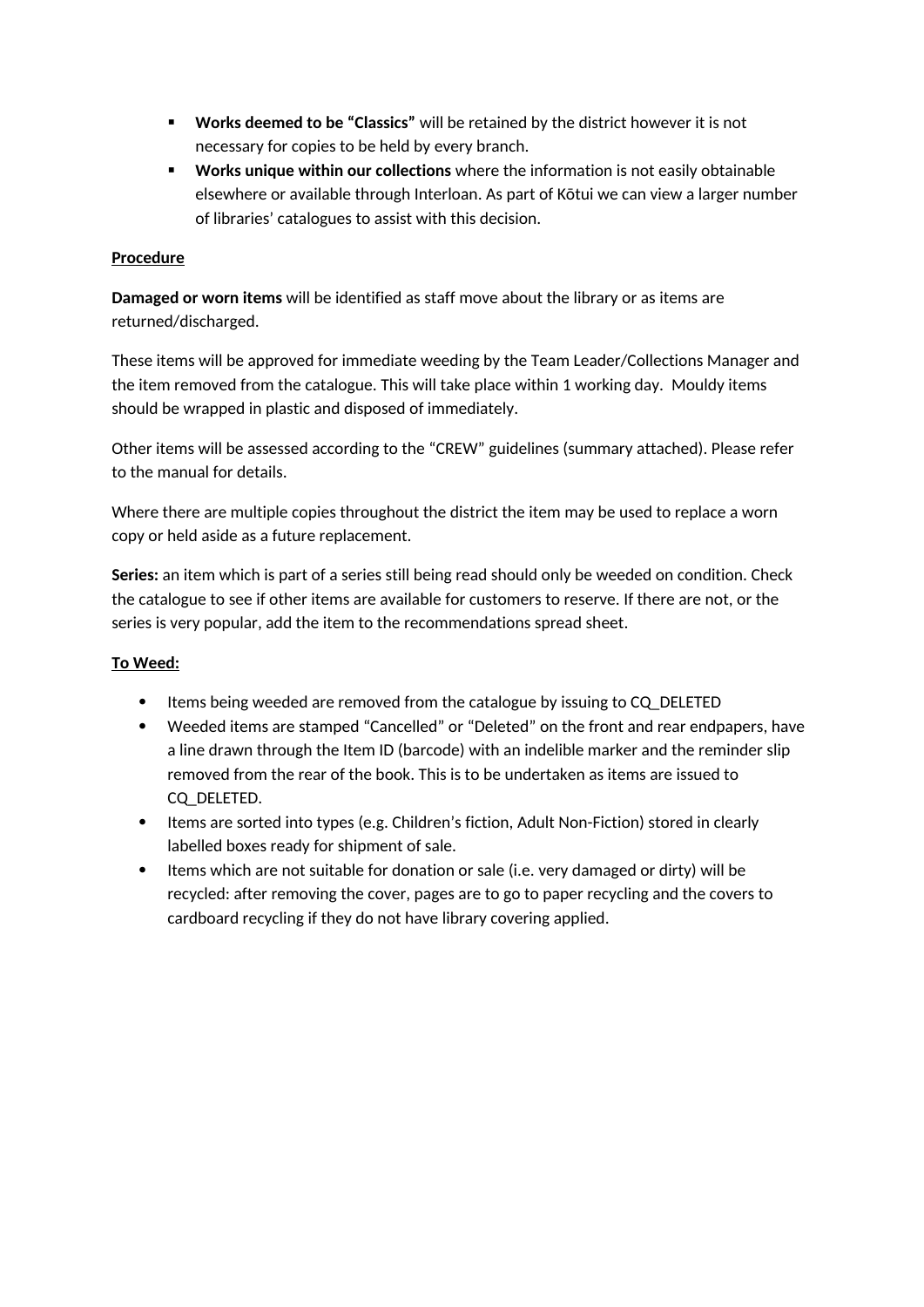- **Works deemed to be "Classics"** will be retained by the district however it is not necessary for copies to be held by every branch.
- **Works unique within our collections** where the information is not easily obtainable elsewhere or available through Interloan. As part of Kōtui we can view a larger number of libraries' catalogues to assist with this decision.

## **Procedure**

**Damaged or worn items** will be identified as staff move about the library or as items are returned/discharged.

These items will be approved for immediate weeding by the Team Leader/Collections Manager and the item removed from the catalogue. This will take place within 1 working day. Mouldy items should be wrapped in plastic and disposed of immediately.

Other items will be assessed according to the "CREW" guidelines (summary attached). Please refer to the manual for details.

Where there are multiple copies throughout the district the item may be used to replace a worn copy or held aside as a future replacement.

**Series:** an item which is part of a series still being read should only be weeded on condition. Check the catalogue to see if other items are available for customers to reserve. If there are not, or the series is very popular, add the item to the recommendations spread sheet.

## **To Weed:**

- Items being weeded are removed from the catalogue by issuing to CQ\_DELETED
- Weeded items are stamped "Cancelled" or "Deleted" on the front and rear endpapers, have a line drawn through the Item ID (barcode) with an indelible marker and the reminder slip removed from the rear of the book. This is to be undertaken as items are issued to CQ\_DELETED.
- Items are sorted into types (e.g. Children's fiction, Adult Non-Fiction) stored in clearly labelled boxes ready for shipment of sale.
- Items which are not suitable for donation or sale (i.e. very damaged or dirty) will be recycled: after removing the cover, pages are to go to paper recycling and the covers to cardboard recycling if they do not have library covering applied.